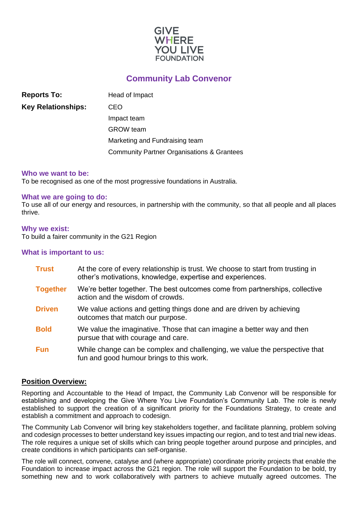

# **Community Lab Convenor**

**Reports To:** Head of Impact **Key Relationships:** CEO Impact team GROW team Marketing and Fundraising team Community Partner Organisations & Grantees

#### **Who we want to be:**

To be recognised as one of the most progressive foundations in Australia.

#### **What we are going to do:**

To use all of our energy and resources, in partnership with the community, so that all people and all places thrive.

#### **Why we exist:**

To build a fairer community in the G21 Region

#### **What is important to us:**

| <b>Trust</b>    | At the core of every relationship is trust. We choose to start from trusting in<br>other's motivations, knowledge, expertise and experiences. |
|-----------------|-----------------------------------------------------------------------------------------------------------------------------------------------|
| <b>Together</b> | We're better together. The best outcomes come from partnerships, collective<br>action and the wisdom of crowds.                               |
| <b>Driven</b>   | We value actions and getting things done and are driven by achieving<br>outcomes that match our purpose.                                      |
| <b>Bold</b>     | We value the imaginative. Those that can imagine a better way and then<br>pursue that with courage and care.                                  |
| <b>Fun</b>      | While change can be complex and challenging, we value the perspective that<br>fun and good humour brings to this work.                        |

### **Position Overview:**

Reporting and Accountable to the Head of Impact, the Community Lab Convenor will be responsible for establishing and developing the Give Where You Live Foundation's Community Lab. The role is newly established to support the creation of a significant priority for the Foundations Strategy, to create and establish a commitment and approach to codesign.

The Community Lab Convenor will bring key stakeholders together, and facilitate planning, problem solving and codesign processes to better understand key issues impacting our region, and to test and trial new ideas. The role requires a unique set of skills which can bring people together around purpose and principles, and create conditions in which participants can self-organise.

The role will connect, convene, catalyse and (where appropriate) coordinate priority projects that enable the Foundation to increase impact across the G21 region. The role will support the Foundation to be bold, try something new and to work collaboratively with partners to achieve mutually agreed outcomes. The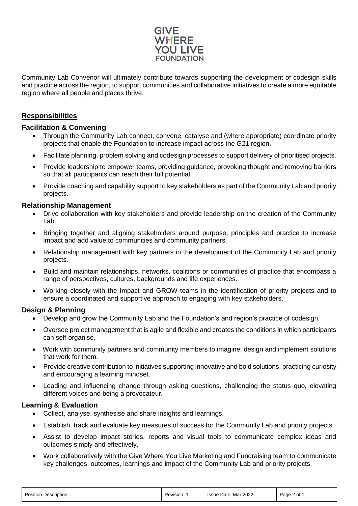

Community Lab Convenor will ultimately contribute towards supporting the development of codesign skills and practice across the region, to support communities and collaborative initiatives to create a more equitable region where all people and places thrive.

# **Responsibilities**

### **Facilitation & Convening**

- Through the Community Lab connect, convene, catalyse and (where appropriate) coordinate priority projects that enable the Foundation to increase impact across the G21 region.
- Facilitate planning, problem solving and codesign processes to support delivery of prioritised projects.
- Provide leadership to empower teams, providing guidance, provoking thought and removing barriers so that all participants can reach their full potential.
- Provide coaching and capability support to key stakeholders as part of the Community Lab and priority projects.

### **Relationship Management**

- Drive collaboration with key stakeholders and provide leadership on the creation of the Community Lab.
- Bringing together and aligning stakeholders around purpose, principles and practice to increase impact and add value to communities and community partners.
- Relationship management with key partners in the development of the Community Lab and priority projects.
- Build and maintain relationships, networks, coalitions or communities of practice that encompass a range of perspectives, cultures, backgrounds and life experiences.
- Working closely with the Impact and GROW teams in the identification of priority projects and to ensure a coordinated and supportive approach to engaging with key stakeholders.

## **Design & Planning**

- Develop and grow the Community Lab and the Foundation's and region's practice of codesign.
- Oversee project management that is agile and flexible and creates the conditions in which participants can self-organise.
- Work with community partners and community members to imagine, design and implement solutions that work for them.
- Provide creative contribution to initiatives supporting innovative and bold solutions, practicing curiosity and encouraging a learning mindset.
- Leading and influencing change through asking questions, challenging the status quo, elevating different voices and being a provocateur.

### **Learning & Evaluation**

- Collect, analyse, synthesise and share insights and learnings.
- Establish, track and evaluate key measures of success for the Community Lab and priority projects.
- Assist to develop impact stories, reports and visual tools to communicate complex ideas and outcomes simply and effectively.
- Work collaboratively with the Give Where You Live Marketing and Fundraising team to communicate key challenges, outcomes, learnings and impact of the Community Lab and priority projects.

| <b>Position Description</b> | Revision: 1 | Issue Date: Mar 2022 | Page 2 of 1 |
|-----------------------------|-------------|----------------------|-------------|
|-----------------------------|-------------|----------------------|-------------|